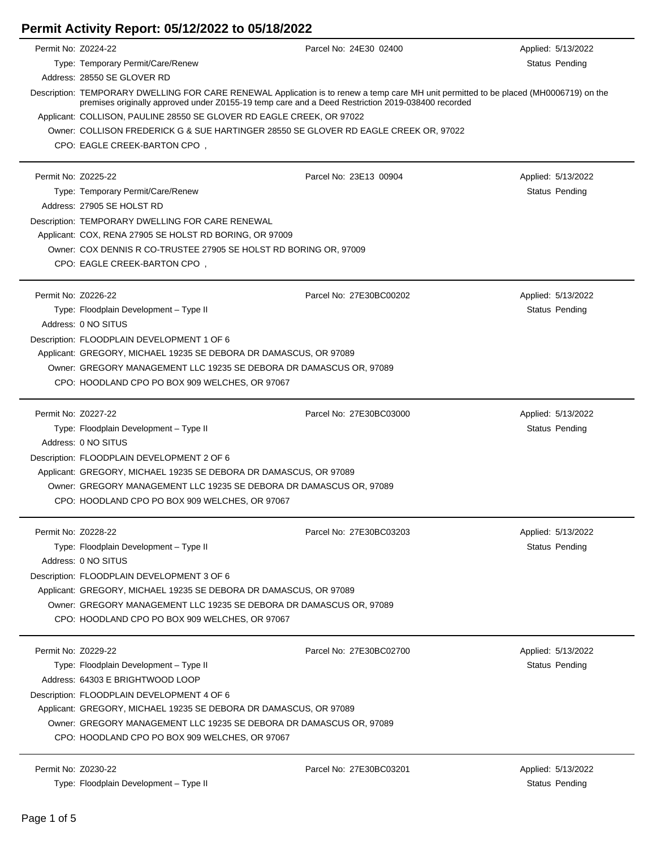| Permit No: Z0224-22 |                                                                                                                                                                                                                                             | Parcel No: 24E30 02400  | Applied: 5/13/2022 |
|---------------------|---------------------------------------------------------------------------------------------------------------------------------------------------------------------------------------------------------------------------------------------|-------------------------|--------------------|
|                     | Type: Temporary Permit/Care/Renew                                                                                                                                                                                                           |                         | Status Pending     |
|                     | Address: 28550 SE GLOVER RD                                                                                                                                                                                                                 |                         |                    |
|                     | Description: TEMPORARY DWELLING FOR CARE RENEWAL Application is to renew a temp care MH unit permitted to be placed (MH0006719) on the<br>premises originally approved under Z0155-19 temp care and a Deed Restriction 2019-038400 recorded |                         |                    |
|                     | Applicant: COLLISON, PAULINE 28550 SE GLOVER RD EAGLE CREEK, OR 97022                                                                                                                                                                       |                         |                    |
|                     | Owner: COLLISON FREDERICK G & SUE HARTINGER 28550 SE GLOVER RD EAGLE CREEK OR, 97022                                                                                                                                                        |                         |                    |
|                     | CPO: EAGLE CREEK-BARTON CPO,                                                                                                                                                                                                                |                         |                    |
| Permit No: Z0225-22 |                                                                                                                                                                                                                                             | Parcel No: 23E13 00904  | Applied: 5/13/2022 |
|                     | Type: Temporary Permit/Care/Renew                                                                                                                                                                                                           |                         | Status Pending     |
|                     | Address: 27905 SE HOLST RD                                                                                                                                                                                                                  |                         |                    |
|                     | Description: TEMPORARY DWELLING FOR CARE RENEWAL                                                                                                                                                                                            |                         |                    |
|                     | Applicant: COX, RENA 27905 SE HOLST RD BORING, OR 97009                                                                                                                                                                                     |                         |                    |
|                     | Owner: COX DENNIS R CO-TRUSTEE 27905 SE HOLST RD BORING OR, 97009                                                                                                                                                                           |                         |                    |
|                     | CPO: EAGLE CREEK-BARTON CPO,                                                                                                                                                                                                                |                         |                    |
| Permit No: Z0226-22 |                                                                                                                                                                                                                                             | Parcel No: 27E30BC00202 | Applied: 5/13/2022 |
|                     | Type: Floodplain Development - Type II                                                                                                                                                                                                      |                         | Status Pending     |
|                     | Address: 0 NO SITUS                                                                                                                                                                                                                         |                         |                    |
|                     | Description: FLOODPLAIN DEVELOPMENT 1 OF 6                                                                                                                                                                                                  |                         |                    |
|                     | Applicant: GREGORY, MICHAEL 19235 SE DEBORA DR DAMASCUS, OR 97089                                                                                                                                                                           |                         |                    |
|                     | Owner: GREGORY MANAGEMENT LLC 19235 SE DEBORA DR DAMASCUS OR, 97089                                                                                                                                                                         |                         |                    |
|                     | CPO: HOODLAND CPO PO BOX 909 WELCHES, OR 97067                                                                                                                                                                                              |                         |                    |
| Permit No: Z0227-22 |                                                                                                                                                                                                                                             | Parcel No: 27E30BC03000 | Applied: 5/13/2022 |
|                     | Type: Floodplain Development - Type II                                                                                                                                                                                                      |                         | Status Pending     |
|                     | Address: 0 NO SITUS                                                                                                                                                                                                                         |                         |                    |
|                     | Description: FLOODPLAIN DEVELOPMENT 2 OF 6                                                                                                                                                                                                  |                         |                    |
|                     | Applicant: GREGORY, MICHAEL 19235 SE DEBORA DR DAMASCUS, OR 97089                                                                                                                                                                           |                         |                    |
|                     | Owner: GREGORY MANAGEMENT LLC 19235 SE DEBORA DR DAMASCUS OR, 97089                                                                                                                                                                         |                         |                    |
|                     | CPO: HOODLAND CPO PO BOX 909 WELCHES, OR 97067                                                                                                                                                                                              |                         |                    |
| Permit No: Z0228-22 |                                                                                                                                                                                                                                             | Parcel No: 27E30BC03203 | Applied: 5/13/2022 |
|                     | Type: Floodplain Development - Type II                                                                                                                                                                                                      |                         | Status Pending     |
|                     | Address: 0 NO SITUS                                                                                                                                                                                                                         |                         |                    |
|                     | Description: FLOODPLAIN DEVELOPMENT 3 OF 6                                                                                                                                                                                                  |                         |                    |
|                     | Applicant: GREGORY, MICHAEL 19235 SE DEBORA DR DAMASCUS, OR 97089                                                                                                                                                                           |                         |                    |
|                     | Owner: GREGORY MANAGEMENT LLC 19235 SE DEBORA DR DAMASCUS OR, 97089                                                                                                                                                                         |                         |                    |
|                     | CPO: HOODLAND CPO PO BOX 909 WELCHES, OR 97067                                                                                                                                                                                              |                         |                    |
| Permit No: Z0229-22 |                                                                                                                                                                                                                                             | Parcel No: 27E30BC02700 | Applied: 5/13/2022 |
|                     | Type: Floodplain Development - Type II                                                                                                                                                                                                      |                         | Status Pending     |
|                     | Address: 64303 E BRIGHTWOOD LOOP                                                                                                                                                                                                            |                         |                    |
|                     | Description: FLOODPLAIN DEVELOPMENT 4 OF 6                                                                                                                                                                                                  |                         |                    |
|                     | Applicant: GREGORY, MICHAEL 19235 SE DEBORA DR DAMASCUS, OR 97089                                                                                                                                                                           |                         |                    |
|                     | Owner: GREGORY MANAGEMENT LLC 19235 SE DEBORA DR DAMASCUS OR, 97089                                                                                                                                                                         |                         |                    |
|                     | CPO: HOODLAND CPO PO BOX 909 WELCHES, OR 97067                                                                                                                                                                                              |                         |                    |
| Permit No: Z0230-22 |                                                                                                                                                                                                                                             | Parcel No: 27E30BC03201 | Applied: 5/13/2022 |

Type: Floodplain Development – Type II Status Pending Status Pending

J.

Ĭ.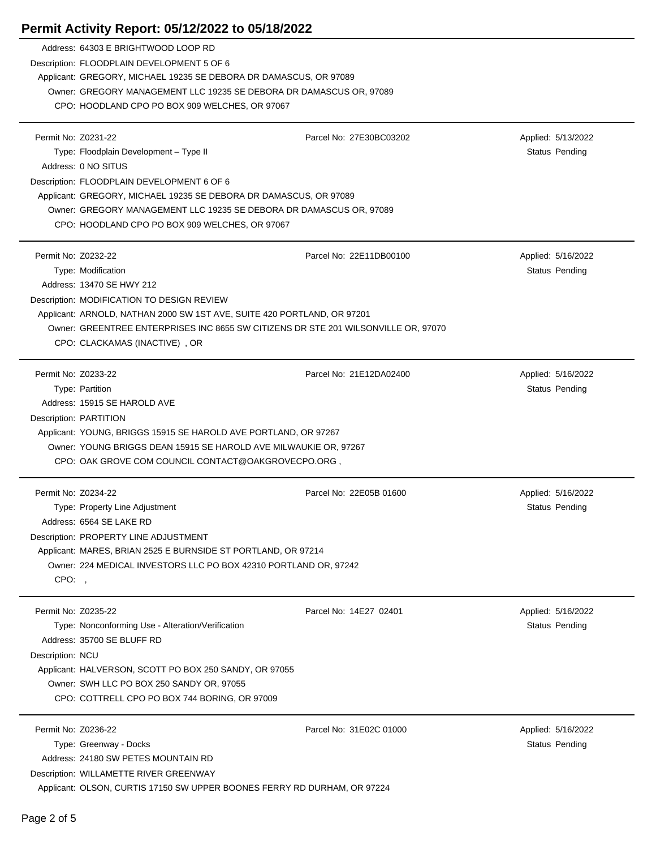|                     | Address: 64303 E BRIGHTWOOD LOOP RD                                                                                |                         |                       |
|---------------------|--------------------------------------------------------------------------------------------------------------------|-------------------------|-----------------------|
|                     | Description: FLOODPLAIN DEVELOPMENT 5 OF 6                                                                         |                         |                       |
|                     | Applicant: GREGORY, MICHAEL 19235 SE DEBORA DR DAMASCUS, OR 97089                                                  |                         |                       |
|                     | Owner: GREGORY MANAGEMENT LLC 19235 SE DEBORA DR DAMASCUS OR, 97089                                                |                         |                       |
|                     | CPO: HOODLAND CPO PO BOX 909 WELCHES, OR 97067                                                                     |                         |                       |
|                     |                                                                                                                    |                         |                       |
| Permit No: Z0231-22 |                                                                                                                    | Parcel No: 27E30BC03202 | Applied: 5/13/2022    |
|                     | Type: Floodplain Development - Type II                                                                             |                         | Status Pending        |
|                     | Address: 0 NO SITUS                                                                                                |                         |                       |
|                     | Description: FLOODPLAIN DEVELOPMENT 6 OF 6                                                                         |                         |                       |
|                     | Applicant: GREGORY, MICHAEL 19235 SE DEBORA DR DAMASCUS, OR 97089                                                  |                         |                       |
|                     | Owner: GREGORY MANAGEMENT LLC 19235 SE DEBORA DR DAMASCUS OR, 97089                                                |                         |                       |
|                     | CPO: HOODLAND CPO PO BOX 909 WELCHES, OR 97067                                                                     |                         |                       |
| Permit No: Z0232-22 |                                                                                                                    | Parcel No: 22E11DB00100 | Applied: 5/16/2022    |
|                     | Type: Modification                                                                                                 |                         | <b>Status Pending</b> |
|                     | Address: 13470 SE HWY 212                                                                                          |                         |                       |
|                     | Description: MODIFICATION TO DESIGN REVIEW                                                                         |                         |                       |
|                     | Applicant: ARNOLD, NATHAN 2000 SW 1ST AVE, SUITE 420 PORTLAND, OR 97201                                            |                         |                       |
|                     | Owner: GREENTREE ENTERPRISES INC 8655 SW CITIZENS DR STE 201 WILSONVILLE OR, 97070                                 |                         |                       |
|                     | CPO: CLACKAMAS (INACTIVE), OR                                                                                      |                         |                       |
|                     |                                                                                                                    |                         |                       |
| Permit No: Z0233-22 |                                                                                                                    | Parcel No: 21E12DA02400 | Applied: 5/16/2022    |
|                     | Type: Partition                                                                                                    |                         | Status Pending        |
|                     | Address: 15915 SE HAROLD AVE                                                                                       |                         |                       |
|                     | Description: PARTITION                                                                                             |                         |                       |
|                     | Applicant: YOUNG, BRIGGS 15915 SE HAROLD AVE PORTLAND, OR 97267                                                    |                         |                       |
|                     |                                                                                                                    |                         |                       |
|                     | Owner: YOUNG BRIGGS DEAN 15915 SE HAROLD AVE MILWAUKIE OR, 97267                                                   |                         |                       |
|                     | CPO: OAK GROVE COM COUNCIL CONTACT@OAKGROVECPO.ORG,                                                                |                         |                       |
|                     |                                                                                                                    |                         |                       |
| Permit No: Z0234-22 |                                                                                                                    | Parcel No: 22E05B 01600 | Applied: 5/16/2022    |
|                     | Type: Property Line Adjustment                                                                                     |                         | Status Pending        |
|                     | Address: 6564 SE LAKE RD                                                                                           |                         |                       |
|                     | Description: PROPERTY LINE ADJUSTMENT                                                                              |                         |                       |
|                     | Applicant: MARES, BRIAN 2525 E BURNSIDE ST PORTLAND, OR 97214                                                      |                         |                       |
|                     | Owner: 224 MEDICAL INVESTORS LLC PO BOX 42310 PORTLAND OR, 97242                                                   |                         |                       |
| CPO:,               |                                                                                                                    |                         |                       |
| Permit No: Z0235-22 |                                                                                                                    | Parcel No: 14E27 02401  |                       |
|                     |                                                                                                                    |                         | Applied: 5/16/2022    |
|                     | Type: Nonconforming Use - Alteration/Verification<br>Address: 35700 SE BLUFF RD                                    |                         | Status Pending        |
| Description: NCU    |                                                                                                                    |                         |                       |
|                     | Applicant: HALVERSON, SCOTT PO BOX 250 SANDY, OR 97055                                                             |                         |                       |
|                     | Owner: SWH LLC PO BOX 250 SANDY OR, 97055                                                                          |                         |                       |
|                     | CPO: COTTRELL CPO PO BOX 744 BORING, OR 97009                                                                      |                         |                       |
|                     |                                                                                                                    |                         |                       |
| Permit No: Z0236-22 |                                                                                                                    | Parcel No: 31E02C 01000 | Applied: 5/16/2022    |
|                     | Type: Greenway - Docks                                                                                             |                         | Status Pending        |
|                     | Address: 24180 SW PETES MOUNTAIN RD                                                                                |                         |                       |
|                     | Description: WILLAMETTE RIVER GREENWAY<br>Applicant: OLSON, CURTIS 17150 SW UPPER BOONES FERRY RD DURHAM, OR 97224 |                         |                       |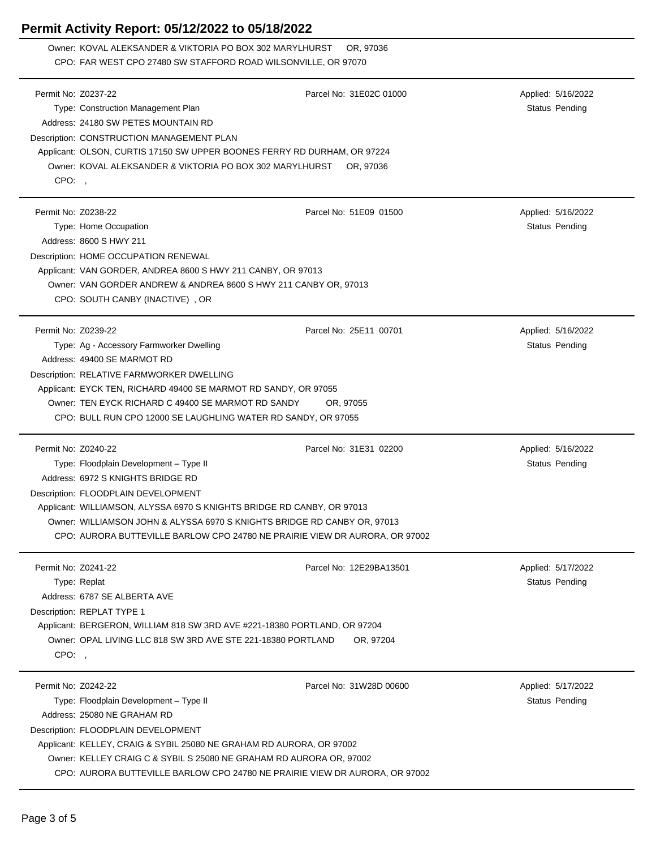Owner: KOVAL ALEKSANDER & VIKTORIA PO BOX 302 MARYLHURST OR, 97036 CPO: FAR WEST CPO 27480 SW STAFFORD ROAD WILSONVILLE, OR 97070

| Permit No: Z0237-22 |                                                                             | Parcel No: 31E02C 01000 | Applied: 5/16/2022 |
|---------------------|-----------------------------------------------------------------------------|-------------------------|--------------------|
|                     | Type: Construction Management Plan                                          |                         | Status Pending     |
|                     | Address: 24180 SW PETES MOUNTAIN RD                                         |                         |                    |
|                     | Description: CONSTRUCTION MANAGEMENT PLAN                                   |                         |                    |
|                     | Applicant: OLSON, CURTIS 17150 SW UPPER BOONES FERRY RD DURHAM, OR 97224    |                         |                    |
|                     | Owner: KOVAL ALEKSANDER & VIKTORIA PO BOX 302 MARYLHURST                    | OR, 97036               |                    |
| CPO:                |                                                                             |                         |                    |
|                     |                                                                             |                         |                    |
| Permit No: Z0238-22 |                                                                             | Parcel No: 51E09 01500  | Applied: 5/16/2022 |
|                     | Type: Home Occupation                                                       |                         | Status Pending     |
|                     | Address: 8600 S HWY 211                                                     |                         |                    |
|                     | Description: HOME OCCUPATION RENEWAL                                        |                         |                    |
|                     | Applicant: VAN GORDER, ANDREA 8600 S HWY 211 CANBY, OR 97013                |                         |                    |
|                     | Owner: VAN GORDER ANDREW & ANDREA 8600 S HWY 211 CANBY OR, 97013            |                         |                    |
|                     |                                                                             |                         |                    |
|                     | CPO: SOUTH CANBY (INACTIVE), OR                                             |                         |                    |
|                     |                                                                             |                         |                    |
| Permit No: Z0239-22 |                                                                             | Parcel No: 25E11 00701  | Applied: 5/16/2022 |
|                     | Type: Ag - Accessory Farmworker Dwelling                                    |                         | Status Pending     |
|                     | Address: 49400 SE MARMOT RD                                                 |                         |                    |
|                     | Description: RELATIVE FARMWORKER DWELLING                                   |                         |                    |
|                     | Applicant: EYCK TEN, RICHARD 49400 SE MARMOT RD SANDY, OR 97055             |                         |                    |
|                     | Owner: TEN EYCK RICHARD C 49400 SE MARMOT RD SANDY                          | OR, 97055               |                    |
|                     | CPO: BULL RUN CPO 12000 SE LAUGHLING WATER RD SANDY, OR 97055               |                         |                    |
|                     |                                                                             |                         |                    |
|                     |                                                                             |                         |                    |
| Permit No: Z0240-22 |                                                                             | Parcel No: 31E31 02200  | Applied: 5/16/2022 |
|                     | Type: Floodplain Development - Type II                                      |                         | Status Pending     |
|                     | Address: 6972 S KNIGHTS BRIDGE RD                                           |                         |                    |
|                     | Description: FLOODPLAIN DEVELOPMENT                                         |                         |                    |
|                     | Applicant: WILLIAMSON, ALYSSA 6970 S KNIGHTS BRIDGE RD CANBY, OR 97013      |                         |                    |
|                     | Owner: WILLIAMSON JOHN & ALYSSA 6970 S KNIGHTS BRIDGE RD CANBY OR, 97013    |                         |                    |
|                     | CPO: AURORA BUTTEVILLE BARLOW CPO 24780 NE PRAIRIE VIEW DR AURORA, OR 97002 |                         |                    |
|                     |                                                                             |                         |                    |
| Permit No: Z0241-22 |                                                                             | Parcel No: 12E29BA13501 | Applied: 5/17/2022 |
|                     | Type: Replat                                                                |                         | Status Pending     |
|                     | Address: 6787 SE ALBERTA AVE                                                |                         |                    |
|                     | Description: REPLAT TYPE 1                                                  |                         |                    |
|                     | Applicant: BERGERON, WILLIAM 818 SW 3RD AVE #221-18380 PORTLAND, OR 97204   |                         |                    |
|                     | Owner: OPAL LIVING LLC 818 SW 3RD AVE STE 221-18380 PORTLAND                | OR, 97204               |                    |
| CPO:,               |                                                                             |                         |                    |
|                     |                                                                             |                         |                    |
| Permit No: Z0242-22 |                                                                             | Parcel No: 31W28D 00600 | Applied: 5/17/2022 |
|                     | Type: Floodplain Development - Type II                                      |                         | Status Pending     |
|                     | Address: 25080 NE GRAHAM RD                                                 |                         |                    |
|                     | Description: FLOODPLAIN DEVELOPMENT                                         |                         |                    |
|                     | Applicant: KELLEY, CRAIG & SYBIL 25080 NE GRAHAM RD AURORA, OR 97002        |                         |                    |
|                     | Owner: KELLEY CRAIG C & SYBIL S 25080 NE GRAHAM RD AURORA OR, 97002         |                         |                    |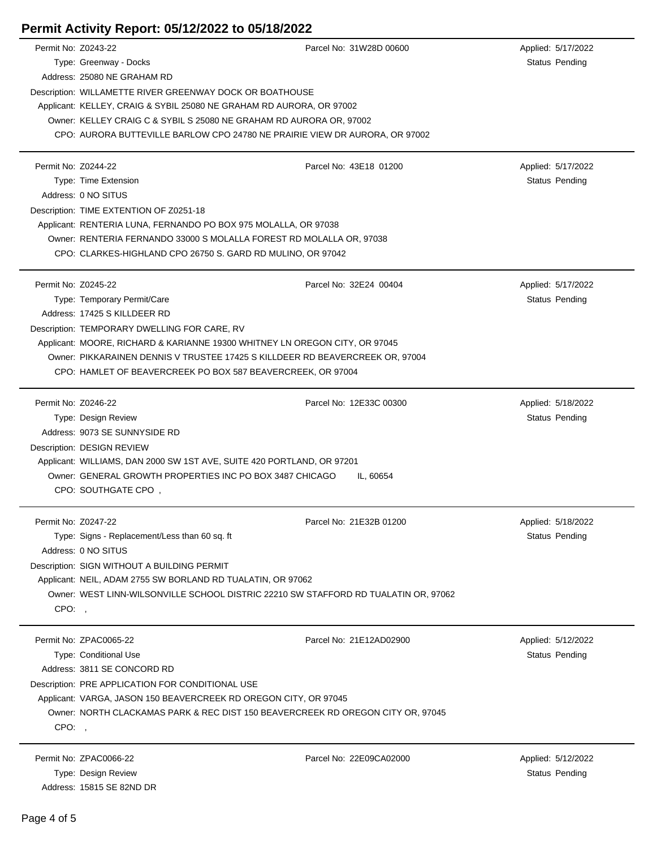| Permit No: Z0243-22                                                    | Parcel No: 31W28D 00600                                                             | Applied: 5/17/2022    |
|------------------------------------------------------------------------|-------------------------------------------------------------------------------------|-----------------------|
| Type: Greenway - Docks                                                 |                                                                                     | Status Pending        |
| Address: 25080 NE GRAHAM RD                                            |                                                                                     |                       |
| Description: WILLAMETTE RIVER GREENWAY DOCK OR BOATHOUSE               |                                                                                     |                       |
| Applicant: KELLEY, CRAIG & SYBIL 25080 NE GRAHAM RD AURORA, OR 97002   |                                                                                     |                       |
| Owner: KELLEY CRAIG C & SYBIL S 25080 NE GRAHAM RD AURORA OR, 97002    |                                                                                     |                       |
|                                                                        | CPO: AURORA BUTTEVILLE BARLOW CPO 24780 NE PRAIRIE VIEW DR AURORA, OR 97002         |                       |
| Permit No: Z0244-22                                                    | Parcel No: 43E18 01200                                                              | Applied: 5/17/2022    |
| Type: Time Extension                                                   |                                                                                     | Status Pending        |
| Address: 0 NO SITUS                                                    |                                                                                     |                       |
| Description: TIME EXTENTION OF Z0251-18                                |                                                                                     |                       |
| Applicant: RENTERIA LUNA, FERNANDO PO BOX 975 MOLALLA, OR 97038        |                                                                                     |                       |
|                                                                        | Owner: RENTERIA FERNANDO 33000 S MOLALLA FOREST RD MOLALLA OR, 97038                |                       |
| CPO: CLARKES-HIGHLAND CPO 26750 S. GARD RD MULINO, OR 97042            |                                                                                     |                       |
| Permit No: Z0245-22                                                    | Parcel No: 32E24 00404                                                              | Applied: 5/17/2022    |
| Type: Temporary Permit/Care                                            |                                                                                     | Status Pending        |
| Address: 17425 S KILLDEER RD                                           |                                                                                     |                       |
| Description: TEMPORARY DWELLING FOR CARE, RV                           |                                                                                     |                       |
|                                                                        | Applicant: MOORE, RICHARD & KARIANNE 19300 WHITNEY LN OREGON CITY, OR 97045         |                       |
|                                                                        | Owner: PIKKARAINEN DENNIS V TRUSTEE 17425 S KILLDEER RD BEAVERCREEK OR, 97004       |                       |
| CPO: HAMLET OF BEAVERCREEK PO BOX 587 BEAVERCREEK, OR 97004            |                                                                                     |                       |
| Permit No: Z0246-22                                                    | Parcel No: 12E33C 00300                                                             | Applied: 5/18/2022    |
| Type: Design Review                                                    |                                                                                     | <b>Status Pending</b> |
| Address: 9073 SE SUNNYSIDE RD                                          |                                                                                     |                       |
| Description: DESIGN REVIEW                                             |                                                                                     |                       |
| Applicant: WILLIAMS, DAN 2000 SW 1ST AVE, SUITE 420 PORTLAND, OR 97201 |                                                                                     |                       |
| Owner: GENERAL GROWTH PROPERTIES INC PO BOX 3487 CHICAGO               | IL, 60654                                                                           |                       |
| CPO: SOUTHGATE CPO,                                                    |                                                                                     |                       |
| Permit No: Z0247-22                                                    | Parcel No: 21E32B 01200                                                             | Applied: 5/18/2022    |
| Type: Signs - Replacement/Less than 60 sq. ft                          |                                                                                     | Status Pending        |
| Address: 0 NO SITUS                                                    |                                                                                     |                       |
| Description: SIGN WITHOUT A BUILDING PERMIT                            |                                                                                     |                       |
| Applicant: NEIL, ADAM 2755 SW BORLAND RD TUALATIN, OR 97062            |                                                                                     |                       |
|                                                                        | Owner: WEST LINN-WILSONVILLE SCHOOL DISTRIC 22210 SW STAFFORD RD TUALATIN OR, 97062 |                       |
| CPO: .                                                                 |                                                                                     |                       |
| Permit No: ZPAC0065-22                                                 | Parcel No: 21E12AD02900                                                             | Applied: 5/12/2022    |
| Type: Conditional Use                                                  |                                                                                     | Status Pending        |
| Address: 3811 SE CONCORD RD                                            |                                                                                     |                       |
| Description: PRE APPLICATION FOR CONDITIONAL USE                       |                                                                                     |                       |
| Applicant: VARGA, JASON 150 BEAVERCREEK RD OREGON CITY, OR 97045       |                                                                                     |                       |
|                                                                        | Owner: NORTH CLACKAMAS PARK & REC DIST 150 BEAVERCREEK RD OREGON CITY OR, 97045     |                       |
| CPO:                                                                   |                                                                                     |                       |
| Permit No: ZPAC0066-22                                                 | Parcel No: 22E09CA02000                                                             | Applied: 5/12/2022    |
| Type: Design Review                                                    |                                                                                     | <b>Status Pending</b> |

Address: 15815 SE 82ND DR